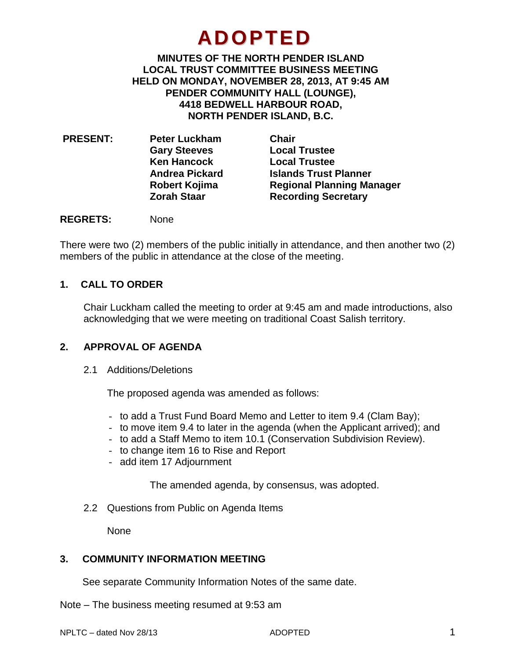# **ADOPTED**

**MINUTES OF THE NORTH PENDER ISLAND LOCAL TRUST COMMITTEE BUSINESS MEETING HELD ON MONDAY, NOVEMBER 28, 2013, AT 9:45 AM PENDER COMMUNITY HALL (LOUNGE), 4418 BEDWELL HARBOUR ROAD, NORTH PENDER ISLAND, B.C.**

| <b>PRESENT:</b><br><b>Peter Luckham</b> | Chair                            |
|-----------------------------------------|----------------------------------|
|                                         | <b>Local Trustee</b>             |
| <b>Ken Hancock</b>                      | <b>Local Trustee</b>             |
| <b>Andrea Pickard</b>                   | <b>Islands Trust Planner</b>     |
| Robert Kojima                           | <b>Regional Planning Manager</b> |
| <b>Zorah Staar</b>                      | <b>Recording Secretary</b>       |
|                                         | <b>Gary Steeves</b>              |

## **REGRETS:** None

There were two (2) members of the public initially in attendance, and then another two (2) members of the public in attendance at the close of the meeting.

## **1. CALL TO ORDER**

Chair Luckham called the meeting to order at 9:45 am and made introductions, also acknowledging that we were meeting on traditional Coast Salish territory.

# **2. APPROVAL OF AGENDA**

2.1 Additions/Deletions

The proposed agenda was amended as follows:

- to add a Trust Fund Board Memo and Letter to item 9.4 (Clam Bay);
- to move item 9.4 to later in the agenda (when the Applicant arrived); and
- to add a Staff Memo to item 10.1 (Conservation Subdivision Review).
- to change item 16 to Rise and Report
- add item 17 Adjournment

The amended agenda, by consensus, was adopted.

2.2 Questions from Public on Agenda Items

None

# **3. COMMUNITY INFORMATION MEETING**

See separate Community Information Notes of the same date.

Note – The business meeting resumed at 9:53 am

NPLTC – dated Nov 28/13 **ADOPTED** 4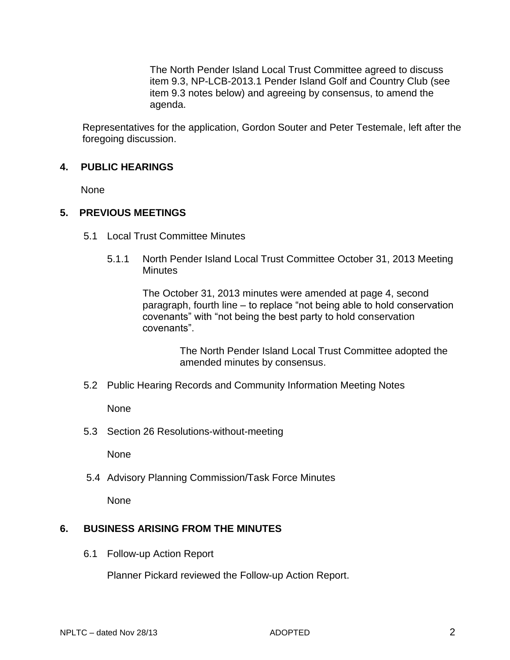The North Pender Island Local Trust Committee agreed to discuss item 9.3, NP-LCB-2013.1 Pender Island Golf and Country Club (see item 9.3 notes below) and agreeing by consensus, to amend the agenda.

Representatives for the application, Gordon Souter and Peter Testemale, left after the foregoing discussion.

# **4. PUBLIC HEARINGS**

None

## **5. PREVIOUS MEETINGS**

- 5.1 Local Trust Committee Minutes
	- 5.1.1 North Pender Island Local Trust Committee October 31, 2013 Meeting **Minutes**

The October 31, 2013 minutes were amended at page 4, second paragraph, fourth line – to replace "not being able to hold conservation covenants" with "not being the best party to hold conservation covenants".

> The North Pender Island Local Trust Committee adopted the amended minutes by consensus.

5.2 Public Hearing Records and Community Information Meeting Notes

None

5.3 Section 26 Resolutions-without-meeting

None

5.4 Advisory Planning Commission/Task Force Minutes

None

# **6. BUSINESS ARISING FROM THE MINUTES**

6.1 Follow-up Action Report

Planner Pickard reviewed the Follow-up Action Report.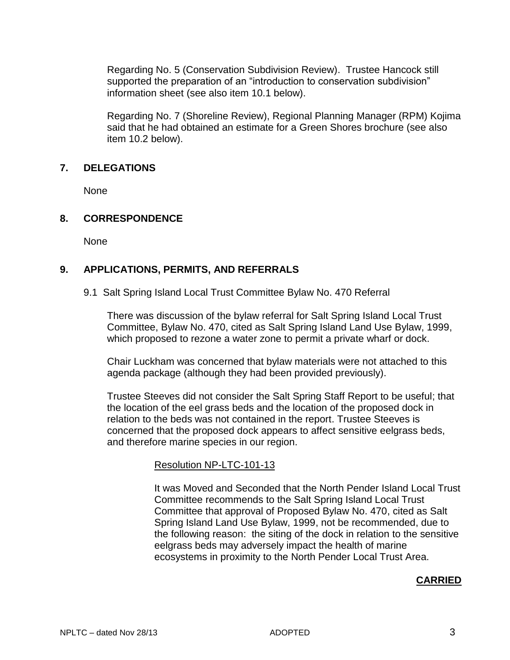Regarding No. 5 (Conservation Subdivision Review). Trustee Hancock still supported the preparation of an "introduction to conservation subdivision" information sheet (see also item 10.1 below).

Regarding No. 7 (Shoreline Review), Regional Planning Manager (RPM) Kojima said that he had obtained an estimate for a Green Shores brochure (see also item 10.2 below).

## **7. DELEGATIONS**

None

# **8. CORRESPONDENCE**

None

# **9. APPLICATIONS, PERMITS, AND REFERRALS**

9.1 Salt Spring Island Local Trust Committee Bylaw No. 470 Referral

There was discussion of the bylaw referral for Salt Spring Island Local Trust Committee, Bylaw No. 470, cited as Salt Spring Island Land Use Bylaw, 1999, which proposed to rezone a water zone to permit a private wharf or dock.

Chair Luckham was concerned that bylaw materials were not attached to this agenda package (although they had been provided previously).

Trustee Steeves did not consider the Salt Spring Staff Report to be useful; that the location of the eel grass beds and the location of the proposed dock in relation to the beds was not contained in the report. Trustee Steeves is concerned that the proposed dock appears to affect sensitive eelgrass beds, and therefore marine species in our region.

## Resolution NP-LTC-101-13

It was Moved and Seconded that the North Pender Island Local Trust Committee recommends to the Salt Spring Island Local Trust Committee that approval of Proposed Bylaw No. 470, cited as Salt Spring Island Land Use Bylaw, 1999, not be recommended, due to the following reason: the siting of the dock in relation to the sensitive eelgrass beds may adversely impact the health of marine ecosystems in proximity to the North Pender Local Trust Area.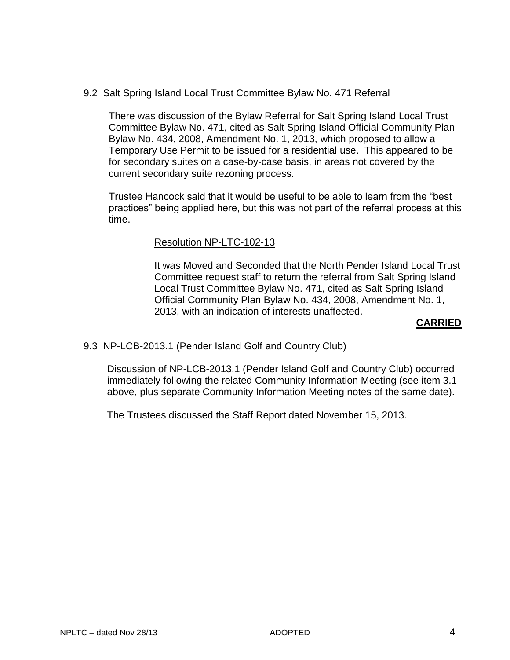9.2 Salt Spring Island Local Trust Committee Bylaw No. 471 Referral

There was discussion of the Bylaw Referral for Salt Spring Island Local Trust Committee Bylaw No. 471, cited as Salt Spring Island Official Community Plan Bylaw No. 434, 2008, Amendment No. 1, 2013, which proposed to allow a Temporary Use Permit to be issued for a residential use. This appeared to be for secondary suites on a case-by-case basis, in areas not covered by the current secondary suite rezoning process.

Trustee Hancock said that it would be useful to be able to learn from the "best practices" being applied here, but this was not part of the referral process at this time.

## Resolution NP-LTC-102-13

It was Moved and Seconded that the North Pender Island Local Trust Committee request staff to return the referral from Salt Spring Island Local Trust Committee Bylaw No. 471, cited as Salt Spring Island Official Community Plan Bylaw No. 434, 2008, Amendment No. 1, 2013, with an indication of interests unaffected.

#### **CARRIED**

## 9.3 NP-LCB-2013.1 (Pender Island Golf and Country Club)

Discussion of NP-LCB-2013.1 (Pender Island Golf and Country Club) occurred immediately following the related Community Information Meeting (see item 3.1 above, plus separate Community Information Meeting notes of the same date).

The Trustees discussed the Staff Report dated November 15, 2013.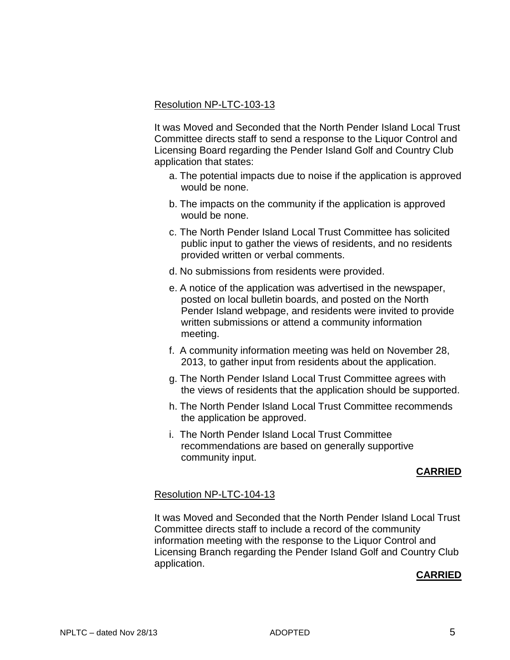## Resolution NP-LTC-103-13

It was Moved and Seconded that the North Pender Island Local Trust Committee directs staff to send a response to the Liquor Control and Licensing Board regarding the Pender Island Golf and Country Club application that states:

- a. The potential impacts due to noise if the application is approved would be none.
- b. The impacts on the community if the application is approved would be none.
- c. The North Pender Island Local Trust Committee has solicited public input to gather the views of residents, and no residents provided written or verbal comments.
- d. No submissions from residents were provided.
- e. A notice of the application was advertised in the newspaper, posted on local bulletin boards, and posted on the North Pender Island webpage, and residents were invited to provide written submissions or attend a community information meeting.
- f. A community information meeting was held on November 28, 2013, to gather input from residents about the application.
- g. The North Pender Island Local Trust Committee agrees with the views of residents that the application should be supported.
- h. The North Pender Island Local Trust Committee recommends the application be approved.
- i. The North Pender Island Local Trust Committee recommendations are based on generally supportive community input.

# **CARRIED**

## Resolution NP-LTC-104-13

It was Moved and Seconded that the North Pender Island Local Trust Committee directs staff to include a record of the community information meeting with the response to the Liquor Control and Licensing Branch regarding the Pender Island Golf and Country Club application.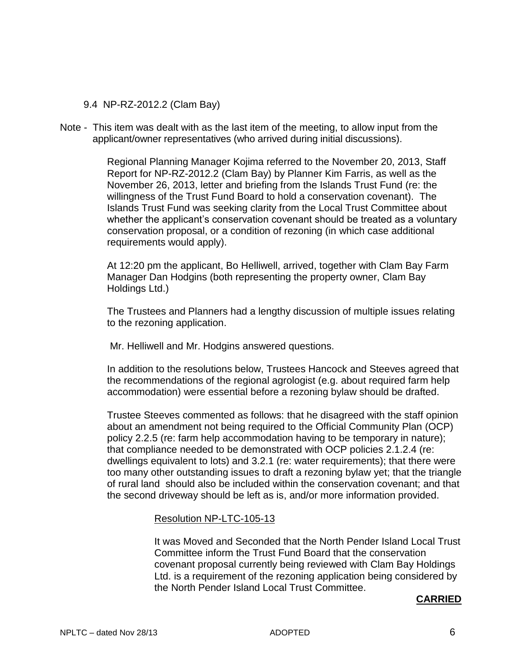# 9.4 NP-RZ-2012.2 (Clam Bay)

Note - This item was dealt with as the last item of the meeting, to allow input from the applicant/owner representatives (who arrived during initial discussions).

> Regional Planning Manager Kojima referred to the November 20, 2013, Staff Report for NP-RZ-2012.2 (Clam Bay) by Planner Kim Farris, as well as the November 26, 2013, letter and briefing from the Islands Trust Fund (re: the willingness of the Trust Fund Board to hold a conservation covenant). The Islands Trust Fund was seeking clarity from the Local Trust Committee about whether the applicant's conservation covenant should be treated as a voluntary conservation proposal, or a condition of rezoning (in which case additional requirements would apply).

At 12:20 pm the applicant, Bo Helliwell, arrived, together with Clam Bay Farm Manager Dan Hodgins (both representing the property owner, Clam Bay Holdings Ltd.)

The Trustees and Planners had a lengthy discussion of multiple issues relating to the rezoning application.

Mr. Helliwell and Mr. Hodgins answered questions.

In addition to the resolutions below, Trustees Hancock and Steeves agreed that the recommendations of the regional agrologist (e.g. about required farm help accommodation) were essential before a rezoning bylaw should be drafted.

Trustee Steeves commented as follows: that he disagreed with the staff opinion about an amendment not being required to the Official Community Plan (OCP) policy 2.2.5 (re: farm help accommodation having to be temporary in nature); that compliance needed to be demonstrated with OCP policies 2.1.2.4 (re: dwellings equivalent to lots) and 3.2.1 (re: water requirements); that there were too many other outstanding issues to draft a rezoning bylaw yet; that the triangle of rural land should also be included within the conservation covenant; and that the second driveway should be left as is, and/or more information provided.

# Resolution NP-LTC-105-13

It was Moved and Seconded that the North Pender Island Local Trust Committee inform the Trust Fund Board that the conservation covenant proposal currently being reviewed with Clam Bay Holdings Ltd. is a requirement of the rezoning application being considered by the North Pender Island Local Trust Committee.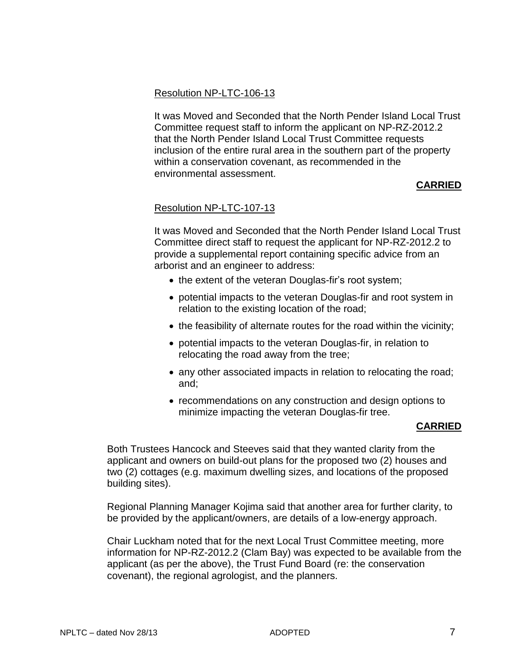# Resolution NP-LTC-106-13

It was Moved and Seconded that the North Pender Island Local Trust Committee request staff to inform the applicant on NP-RZ-2012.2 that the North Pender Island Local Trust Committee requests inclusion of the entire rural area in the southern part of the property within a conservation covenant, as recommended in the environmental assessment.

# **CARRIED**

# Resolution NP-LTC-107-13

It was Moved and Seconded that the North Pender Island Local Trust Committee direct staff to request the applicant for NP-RZ-2012.2 to provide a supplemental report containing specific advice from an arborist and an engineer to address:

- the extent of the veteran Douglas-fir's root system;
- potential impacts to the veteran Douglas-fir and root system in relation to the existing location of the road;
- the feasibility of alternate routes for the road within the vicinity;
- potential impacts to the veteran Douglas-fir, in relation to relocating the road away from the tree;
- any other associated impacts in relation to relocating the road; and;
- recommendations on any construction and design options to minimize impacting the veteran Douglas-fir tree.

# **CARRIED**

Both Trustees Hancock and Steeves said that they wanted clarity from the applicant and owners on build-out plans for the proposed two (2) houses and two (2) cottages (e.g. maximum dwelling sizes, and locations of the proposed building sites).

Regional Planning Manager Kojima said that another area for further clarity, to be provided by the applicant/owners, are details of a low-energy approach.

Chair Luckham noted that for the next Local Trust Committee meeting, more information for NP-RZ-2012.2 (Clam Bay) was expected to be available from the applicant (as per the above), the Trust Fund Board (re: the conservation covenant), the regional agrologist, and the planners.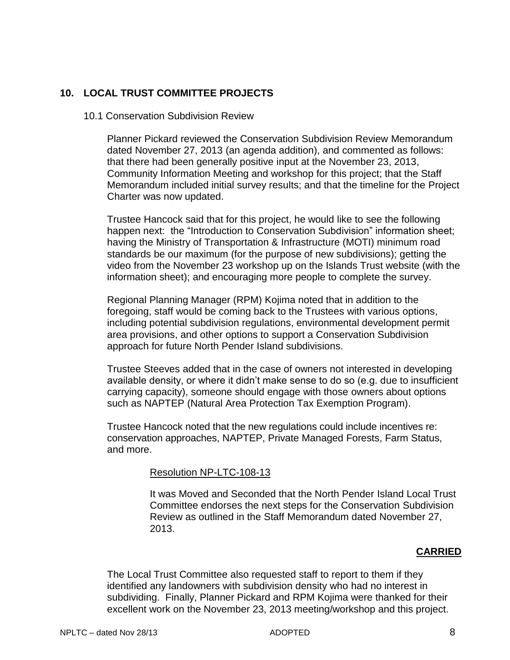# **10. LOCAL TRUST COMMITTEE PROJECTS**

## 10.1 Conservation Subdivision Review

Planner Pickard reviewed the Conservation Subdivision Review Memorandum dated November 27, 2013 (an agenda addition), and commented as follows: that there had been generally positive input at the November 23, 2013, Community Information Meeting and workshop for this project; that the Staff Memorandum included initial survey results; and that the timeline for the Project Charter was now updated.

Trustee Hancock said that for this project, he would like to see the following happen next: the "Introduction to Conservation Subdivision" information sheet; having the Ministry of Transportation & Infrastructure (MOTI) minimum road standards be our maximum (for the purpose of new subdivisions); getting the video from the November 23 workshop up on the Islands Trust website (with the information sheet); and encouraging more people to complete the survey.

Regional Planning Manager (RPM) Kojima noted that in addition to the foregoing, staff would be coming back to the Trustees with various options, including potential subdivision regulations, environmental development permit area provisions, and other options to support a Conservation Subdivision approach for future North Pender Island subdivisions.

Trustee Steeves added that in the case of owners not interested in developing available density, or where it didn't make sense to do so (e.g. due to insufficient carrying capacity), someone should engage with those owners about options such as NAPTEP (Natural Area Protection Tax Exemption Program).

Trustee Hancock noted that the new regulations could include incentives re: conservation approaches, NAPTEP, Private Managed Forests, Farm Status, and more.

## Resolution NP-LTC-108-13

It was Moved and Seconded that the North Pender Island Local Trust Committee endorses the next steps for the Conservation Subdivision Review as outlined in the Staff Memorandum dated November 27, 2013.

# **CARRIED**

The Local Trust Committee also requested staff to report to them if they identified any landowners with subdivision density who had no interest in subdividing. Finally, Planner Pickard and RPM Kojima were thanked for their excellent work on the November 23, 2013 meeting/workshop and this project.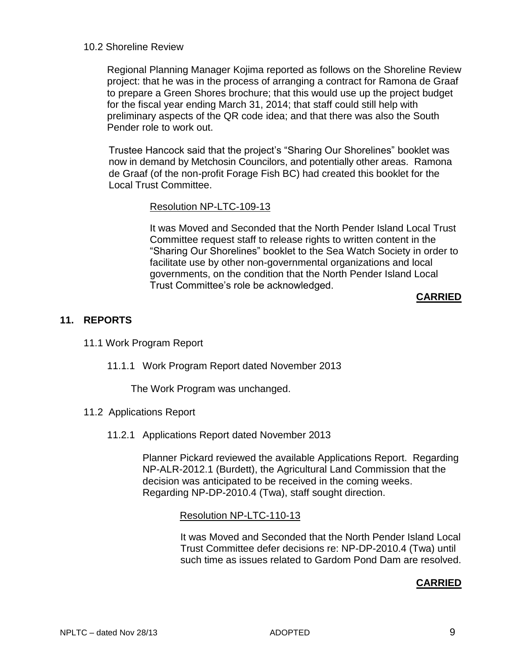## 10.2 Shoreline Review

Regional Planning Manager Kojima reported as follows on the Shoreline Review project: that he was in the process of arranging a contract for Ramona de Graaf to prepare a Green Shores brochure; that this would use up the project budget for the fiscal year ending March 31, 2014; that staff could still help with preliminary aspects of the QR code idea; and that there was also the South Pender role to work out.

Trustee Hancock said that the project's "Sharing Our Shorelines" booklet was now in demand by Metchosin Councilors, and potentially other areas. Ramona de Graaf (of the non-profit Forage Fish BC) had created this booklet for the Local Trust Committee.

## Resolution NP-LTC-109-13

It was Moved and Seconded that the North Pender Island Local Trust Committee request staff to release rights to written content in the "Sharing Our Shorelines" booklet to the Sea Watch Society in order to facilitate use by other non-governmental organizations and local governments, on the condition that the North Pender Island Local Trust Committee's role be acknowledged.

# **CARRIED**

# **11. REPORTS**

## 11.1 Work Program Report

11.1.1 Work Program Report dated November 2013

The Work Program was unchanged.

- 11.2 Applications Report
	- 11.2.1 Applications Report dated November 2013

Planner Pickard reviewed the available Applications Report. Regarding NP-ALR-2012.1 (Burdett), the Agricultural Land Commission that the decision was anticipated to be received in the coming weeks. Regarding NP-DP-2010.4 (Twa), staff sought direction.

## Resolution NP-LTC-110-13

It was Moved and Seconded that the North Pender Island Local Trust Committee defer decisions re: NP-DP-2010.4 (Twa) until such time as issues related to Gardom Pond Dam are resolved.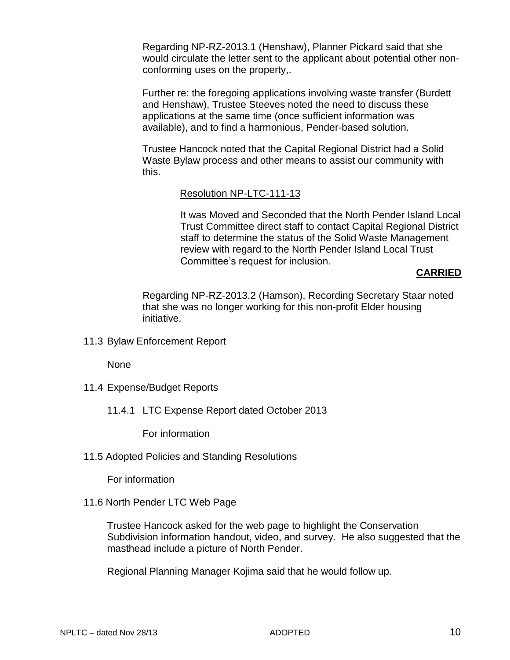Regarding NP-RZ-2013.1 (Henshaw), Planner Pickard said that she would circulate the letter sent to the applicant about potential other nonconforming uses on the property,.

Further re: the foregoing applications involving waste transfer (Burdett and Henshaw), Trustee Steeves noted the need to discuss these applications at the same time (once sufficient information was available), and to find a harmonious, Pender-based solution.

Trustee Hancock noted that the Capital Regional District had a Solid Waste Bylaw process and other means to assist our community with this.

## Resolution NP-LTC-111-13

It was Moved and Seconded that the North Pender Island Local Trust Committee direct staff to contact Capital Regional District staff to determine the status of the Solid Waste Management review with regard to the North Pender Island Local Trust Committee's request for inclusion.

## **CARRIED**

Regarding NP-RZ-2013.2 (Hamson), Recording Secretary Staar noted that she was no longer working for this non-profit Elder housing initiative.

11.3 Bylaw Enforcement Report

None

- 11.4 Expense/Budget Reports
	- 11.4.1 LTC Expense Report dated October 2013

For information

11.5 Adopted Policies and Standing Resolutions

For information

11.6 North Pender LTC Web Page

Trustee Hancock asked for the web page to highlight the Conservation Subdivision information handout, video, and survey. He also suggested that the masthead include a picture of North Pender.

Regional Planning Manager Kojima said that he would follow up.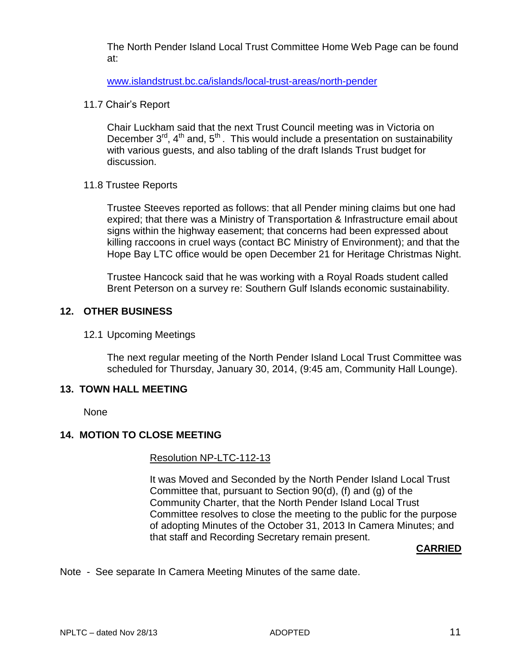The North Pender Island Local Trust Committee Home Web Page can be found at:

[www.islandstrust.bc.ca/islands/local-trust-areas/north-pender](http://www.islandstrust.bc.ca/islands/local-trust-areas/north-pender)

11.7 Chair's Report

Chair Luckham said that the next Trust Council meeting was in Victoria on December  $3^{rd}$ ,  $4^{th}$  and,  $5^{th}$ . This would include a presentation on sustainability with various guests, and also tabling of the draft Islands Trust budget for discussion.

# 11.8 Trustee Reports

Trustee Steeves reported as follows: that all Pender mining claims but one had expired; that there was a Ministry of Transportation & Infrastructure email about signs within the highway easement; that concerns had been expressed about killing raccoons in cruel ways (contact BC Ministry of Environment); and that the Hope Bay LTC office would be open December 21 for Heritage Christmas Night.

Trustee Hancock said that he was working with a Royal Roads student called Brent Peterson on a survey re: Southern Gulf Islands economic sustainability.

# **12. OTHER BUSINESS**

# 12.1 Upcoming Meetings

The next regular meeting of the North Pender Island Local Trust Committee was scheduled for Thursday, January 30, 2014, (9:45 am, Community Hall Lounge).

# **13. TOWN HALL MEETING**

None

# **14. MOTION TO CLOSE MEETING**

# Resolution NP-LTC-112-13

It was Moved and Seconded by the North Pender Island Local Trust Committee that, pursuant to Section 90(d), (f) and (g) of the Community Charter, that the North Pender Island Local Trust Committee resolves to close the meeting to the public for the purpose of adopting Minutes of the October 31, 2013 In Camera Minutes; and that staff and Recording Secretary remain present.

# **CARRIED**

Note - See separate In Camera Meeting Minutes of the same date.